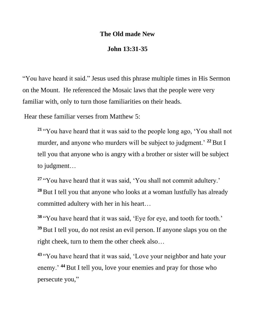## **The Old made New**

## **John 13:31-35**

"You have heard it said." Jesus used this phrase multiple times in His Sermon on the Mount. He referenced the Mosaic laws that the people were very familiar with, only to turn those familiarities on their heads.

Hear these familiar verses from Matthew 5:

**<sup>21</sup>** "You have heard that it was said to the people long ago, 'You shall not murder, and anyone who murders will be subject to judgment.<sup>'</sup> <sup>22</sup> But I tell you that anyone who is angry with a brother or sister will be subject to judgment…

**<sup>27</sup>** "You have heard that it was said, 'You shall not commit adultery.' <sup>28</sup> But I tell you that anyone who looks at a woman lustfully has already committed adultery with her in his heart…

**<sup>38</sup>** "You have heard that it was said, 'Eye for eye, and tooth for tooth.' **<sup>39</sup>**But I tell you, do not resist an evil person. If anyone slaps you on the right cheek, turn to them the other cheek also…

**<sup>43</sup>** "You have heard that it was said, 'Love your neighbor and hate your enemy.<sup>44</sup> But I tell you, love your enemies and pray for those who persecute you,"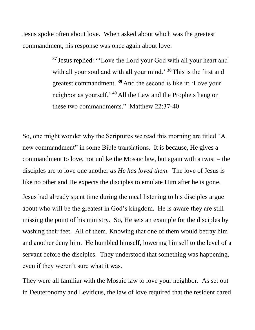Jesus spoke often about love. When asked about which was the greatest commandment, his response was once again about love:

> **<sup>37</sup>** Jesus replied: "'Love the Lord your God with all your heart and with all your soul and with all your mind.' **<sup>38</sup>** This is the first and greatest commandment. **<sup>39</sup>** And the second is like it: 'Love your neighbor as yourself.' **<sup>40</sup>** All the Law and the Prophets hang on these two commandments." Matthew 22:37-40

So, one might wonder why the Scriptures we read this morning are titled "A new commandment" in some Bible translations. It is because, He gives a commandment to love, not unlike the Mosaic law, but again with a twist – the disciples are to love one another *as He has loved them*. The love of Jesus is like no other and He expects the disciples to emulate Him after he is gone.

Jesus had already spent time during the meal listening to his disciples argue about who will be the greatest in God's kingdom. He is aware they are still missing the point of his ministry. So, He sets an example for the disciples by washing their feet. All of them. Knowing that one of them would betray him and another deny him. He humbled himself, lowering himself to the level of a servant before the disciples. They understood that something was happening, even if they weren't sure what it was.

They were all familiar with the Mosaic law to love your neighbor. As set out in Deuteronomy and Leviticus, the law of love required that the resident cared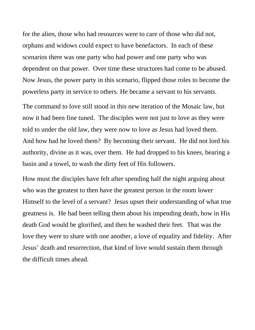for the alien, those who had resources were to care of those who did not, orphans and widows could expect to have benefactors. In each of these scenarios there was one party who had power and one party who was dependent on that power. Over time these structures had come to be abused. Now Jesus, the power party in this scenario, flipped those roles to become the powerless party in service to others. He became a servant to his servants.

The command to love still stood in this new iteration of the Mosaic law, but now it had been fine tuned. The disciples were not just to love as they were told to under the old law, they were now to love as Jesus had loved them. And how had he loved them? By becoming their servant. He did not lord his authority, divine as it was, over them. He had dropped to his knees, bearing a basin and a towel, to wash the dirty feet of His followers.

How must the disciples have felt after spending half the night arguing about who was the greatest to then have the greatest person in the room lower Himself to the level of a servant? Jesus upset their understanding of what true greatness is. He had been telling them about his impending death, how in His death God would be glorified, and then he washed their feet. That was the love they were to share with one another, a love of equality and fidelity. After Jesus' death and resurrection, that kind of love would sustain them through the difficult times ahead.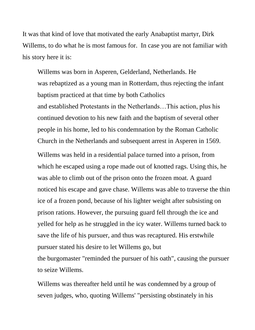It was that kind of love that motivated the early Anabaptist martyr, Dirk Willems, to do what he is most famous for. In case you are not familiar with his story here it is:

Willems was born in [Asperen,](https://en.wikipedia.org/wiki/Asperen) [Gelderland,](https://en.wikipedia.org/wiki/Gelderland) Netherlands. He was [rebaptized](https://en.wikipedia.org/wiki/Believer%27s_baptism) as a young man in [Rotterdam,](https://en.wikipedia.org/wiki/Rotterdam) thus rejecting the [infant](https://en.wikipedia.org/wiki/Infant_baptism)  [baptism](https://en.wikipedia.org/wiki/Infant_baptism) practiced at that time by both Catholics and [established](https://en.wikipedia.org/wiki/Established_church) Protestants in the Netherlands…This action, plus his continued devotion to his new faith and the baptism of several other people in his home, led to his condemnation by the [Roman Catholic](https://en.wikipedia.org/wiki/Roman_Catholic_Church)  [Church](https://en.wikipedia.org/wiki/Roman_Catholic_Church) in the Netherlands and subsequent arrest in Asperen in 1569.

Willems was held in a residential palace turned into a prison, from which he escaped using a rope made out of knotted rags. Using this, he was able to climb out of the prison onto the frozen moat. A guard noticed his escape and gave chase. Willems was able to traverse the thin ice of a frozen pond, because of his lighter weight after subsisting on prison rations. However, the pursuing guard fell through the ice and yelled for help as he struggled in the icy water. Willems turned back to save the life of his pursuer, and thus was recaptured. His erstwhile pursuer stated his desire to let Willems go, but the [burgomaster](https://en.wikipedia.org/wiki/Burgomaster) "reminded the pursuer of his oath", causing the pursuer to seize Willems.

Willems was thereafter held until he was condemned by a group of seven judges, who, quoting Willems' "persisting obstinately in his